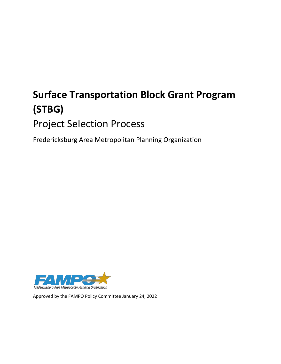# **Surface Transportation Block Grant Program (STBG)** Project Selection Process

Fredericksburg Area Metropolitan Planning Organization



Approved by the FAMPO Policy Committee January 24, 2022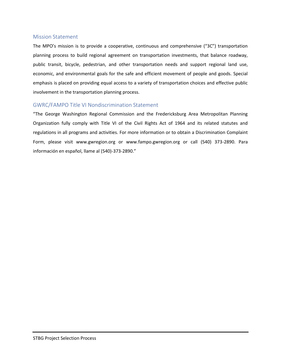#### <span id="page-1-0"></span>Mission Statement

The MPO's mission is to provide a cooperative, continuous and comprehensive ("3C") transportation planning process to build regional agreement on transportation investments, that balance roadway, public transit, bicycle, pedestrian, and other transportation needs and support regional land use, economic, and environmental goals for the safe and efficient movement of people and goods. Special emphasis is placed on providing equal access to a variety of transportation choices and effective public involvement in the transportation planning process.

#### <span id="page-1-1"></span>GWRC/FAMPO Title VI Nondiscrimination Statement

"The George Washington Regional Commission and the Fredericksburg Area Metropolitan Planning Organization fully comply with Title VI of the Civil Rights Act of 1964 and its related statutes and regulations in all programs and activities. For more information or to obtain a Discrimination Complaint Form, please visit www.gwregion.org or www.fampo.gwregion.org or call (540) 373-2890. Para información en español, llame al (540)-373-2890."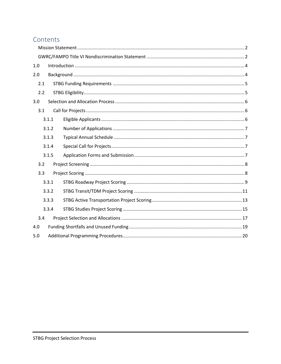# Contents

| 1.0 |       |  |  |  |  |  |  |
|-----|-------|--|--|--|--|--|--|
| 2.0 |       |  |  |  |  |  |  |
| 2.1 |       |  |  |  |  |  |  |
| 2.2 |       |  |  |  |  |  |  |
| 3.0 |       |  |  |  |  |  |  |
| 3.1 |       |  |  |  |  |  |  |
|     | 3.1.1 |  |  |  |  |  |  |
|     | 3.1.2 |  |  |  |  |  |  |
|     | 3.1.3 |  |  |  |  |  |  |
|     | 3.1.4 |  |  |  |  |  |  |
|     | 3.1.5 |  |  |  |  |  |  |
| 3.2 |       |  |  |  |  |  |  |
| 3.3 |       |  |  |  |  |  |  |
|     | 3.3.1 |  |  |  |  |  |  |
|     | 3.3.2 |  |  |  |  |  |  |
|     | 3.3.3 |  |  |  |  |  |  |
|     | 3.3.4 |  |  |  |  |  |  |
| 3.4 |       |  |  |  |  |  |  |
| 4.0 |       |  |  |  |  |  |  |
| 5.0 |       |  |  |  |  |  |  |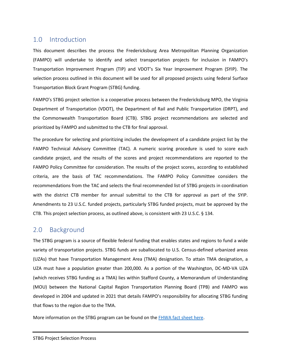# <span id="page-3-0"></span>1.0 Introduction

This document describes the process the Fredericksburg Area Metropolitan Planning Organization (FAMPO) will undertake to identify and select transportation projects for inclusion in FAMPO's Transportation Improvement Program (TIP) and VDOT's Six Year Improvement Program (SYIP). The selection process outlined in this document will be used for all proposed projects using federal Surface Transportation Block Grant Program (STBG) funding.

FAMPO's STBG project selection is a cooperative process between the Fredericksburg MPO, the Virginia Department of Transportation (VDOT), the Department of Rail and Public Transportation (DRPT), and the Commonwealth Transportation Board (CTB). STBG project recommendations are selected and prioritized by FAMPO and submitted to the CTB for final approval.

The procedure for selecting and prioritizing includes the development of a candidate project list by the FAMPO Technical Advisory Committee (TAC). A numeric scoring procedure is used to score each candidate project, and the results of the scores and project recommendations are reported to the FAMPO Policy Committee for consideration. The results of the project scores, according to established criteria, are the basis of TAC recommendations. The FAMPO Policy Committee considers the recommendations from the TAC and selects the final recommended list of STBG projects in coordination with the district CTB member for annual submittal to the CTB for approval as part of the SYIP. Amendments to 23 U.S.C. funded projects, particularly STBG funded projects, must be approved by the CTB. This project selection process, as outlined above, is consistent with 23 U.S.C. § 134.

# <span id="page-3-1"></span>2.0 Background

The STBG program is a source of flexible federal funding that enables states and regions to fund a wide variety of transportation projects. STBG funds are suballocated to U.S. Census-defined urbanized areas (UZAs) that have Transportation Management Area (TMA) designation. To attain TMA designation, a UZA must have a population greater than 200,000. As a portion of the Washington, DC-MD-VA UZA (which receives STBG funding as a TMA) lies within Stafford County, a Memorandum of Understanding (MOU) between the National Capital Region Transportation Planning Board (TPB) and FAMPO was developed in 2004 and updated in 2021 that details FAMPO's responsibility for allocating STBG funding that flows to the region due to the TMA.

More information on the STBG program can be found on the [FHWA fact sheet here.](https://www.fhwa.dot.gov/fastact/factsheets/stbgfs.cfm)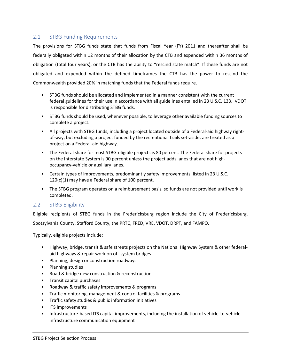#### <span id="page-4-0"></span>2.1 STBG Funding Requirements

The provisions for STBG funds state that funds from Fiscal Year (FY) 2011 and thereafter shall be federally obligated within 12 months of their allocation by the CTB and expended within 36 months of obligation (total four years), or the CTB has the ability to "rescind state match". If these funds are not obligated and expended within the defined timeframes the CTB has the power to rescind the Commonwealth provided 20% in matching funds that the Federal funds require.

- STBG funds should be allocated and implemented in a manner consistent with the current federal guidelines for their use in accordance with all guidelines entailed in 23 U.S.C. 133. VDOT is responsible for distributing STBG funds.
- STBG funds should be used, whenever possible, to leverage other available funding sources to complete a project.
- All projects with STBG funds, including a project located outside of a Federal-aid highway rightof-way, but excluding a project funded by the recreational trails set-aside, are treated as a project on a Federal-aid highway.
- The Federal share for most STBG-eligible projects is 80 percent. The Federal share for projects on the Interstate System is 90 percent unless the project adds lanes that are not highoccupancy-vehicle or auxiliary lanes.
- Certain types of improvements, predominantly safety improvements, listed in 23 U.S.C. 120(c)(1) may have a Federal share of 100 percent.
- The STBG program operates on a reimbursement basis, so funds are not provided until work is completed.

#### <span id="page-4-1"></span>2.2 STBG Eligibility

Eligible recipients of STBG funds in the Fredericksburg region include the City of Fredericksburg, Spotsylvania County, Stafford County, the PRTC, FRED, VRE, VDOT, DRPT, and FAMPO.

Typically, eligible projects include:

- Highway, bridge, transit & safe streets projects on the National Highway System & other federalaid highways & repair work on off-system bridges
- Planning, design or construction roadways
- Planning studies
- Road & bridge new construction & reconstruction
- Transit capital purchases
- Roadway & traffic safety improvements & programs
- Traffic monitoring, management & control facilities & programs
- Traffic safety studies & public information initiatives
- ITS improvements
- Infrastructure-based ITS capital improvements, including the installation of vehicle-to-vehicle infrastructure communication equipment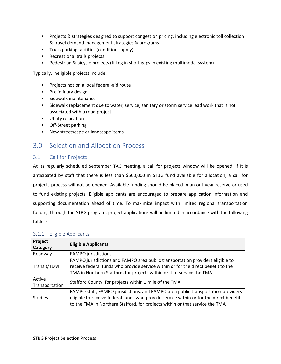- Projects & strategies designed to support congestion pricing, including electronic toll collection & travel demand management strategies & programs
- Truck parking facilities (conditions apply)
- Recreational trails projects
- Pedestrian & bicycle projects (filling in short gaps in existing multimodal system)

Typically, ineligible projects include:

- Projects not on a local federal‐aid route
- Preliminary design
- Sidewalk maintenance
- Sidewalk replacement due to water, service, sanitary or storm service lead work that is not associated with a road project
- Utility relocation
- Off-Street parking
- New streetscape or landscape items

## <span id="page-5-0"></span>3.0 Selection and Allocation Process

#### <span id="page-5-1"></span>3.1 Call for Projects

At its regularly scheduled September TAC meeting, a call for projects window will be opened. If it is anticipated by staff that there is less than \$500,000 in STBG fund available for allocation, a call for projects process will not be opened. Available funding should be placed in an out-year reserve or used to fund existing projects. Eligible applicants are encouraged to prepare application information and supporting documentation ahead of time. To maximize impact with limited regional transportation funding through the STBG program, project applications will be limited in accordance with the following tables:

| Project<br>Category      | <b>Eligible Applicants</b>                                                                                                                                                                                                                                 |
|--------------------------|------------------------------------------------------------------------------------------------------------------------------------------------------------------------------------------------------------------------------------------------------------|
| Roadway                  | <b>FAMPO</b> jurisdictions                                                                                                                                                                                                                                 |
| Transit/TDM              | FAMPO jurisdictions and FAMPO area public transportation providers eligible to<br>receive federal funds who provide service within or for the direct benefit to the<br>TMA in Northern Stafford, for projects within or that service the TMA               |
| Active<br>Transportation | Stafford County, for projects within 1 mile of the TMA                                                                                                                                                                                                     |
| <b>Studies</b>           | FAMPO staff, FAMPO jurisdictions, and FAMPO area public transportation providers<br>eligible to receive federal funds who provide service within or for the direct benefit<br>to the TMA in Northern Stafford, for projects within or that service the TMA |

#### <span id="page-5-2"></span>3.1.1 Eligible Applicants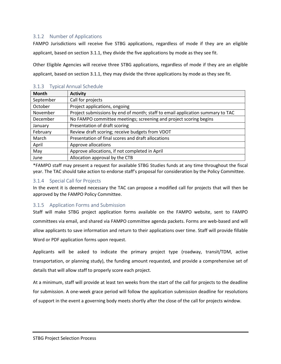#### <span id="page-6-0"></span>3.1.2 Number of Applications

FAMPO Jurisdictions will receive five STBG applications, regardless of mode if they are an eligible applicant, based on section 3.1.1, they divide the five applications by mode as they see fit.

Other Eligible Agencies will receive three STBG applications, regardless of mode if they are an eligible applicant, based on section 3.1.1, they may divide the three applications by mode as they see fit.

| <b>Month</b> | <b>Activity</b>                                                                |
|--------------|--------------------------------------------------------------------------------|
| September    | Call for projects                                                              |
| October      | Project applications, ongoing                                                  |
| November     | Project submissions by end of month; staff to email application summary to TAC |
| December     | No FAMPO committee meetings; screening and project scoring begins              |
| January      | Presentation of draft scoring                                                  |
| February     | Review draft scoring; receive budgets from VDOT                                |
| March        | Presentation of final scores and draft allocations                             |
| April        | Approve allocations                                                            |
| May          | Approve allocations, if not completed in April                                 |
| June         | Allocation approval by the CTB                                                 |

#### <span id="page-6-1"></span>3.1.3 Typical Annual Schedule

\*FAMPO staff may present a request for available STBG Studies funds at any time throughout the fiscal year. The TAC should take action to endorse staff's proposal for consideration by the Policy Committee.

#### <span id="page-6-2"></span>3.1.4 Special Call for Projects

In the event it is deemed necessary the TAC can propose a modified call for projects that will then be approved by the FAMPO Policy Committee.

#### <span id="page-6-3"></span>3.1.5 Application Forms and Submission

Staff will make STBG project application forms available on the FAMPO website, sent to FAMPO committees via email, and shared via FAMPO committee agenda packets. Forms are web-based and will allow applicants to save information and return to their applications over time. Staff will provide fillable Word or PDF application forms upon request.

Applicants will be asked to indicate the primary project type (roadway, transit/TDM, active transportation, or planning study), the funding amount requested, and provide a comprehensive set of details that will allow staff to properly score each project.

At a minimum, staff will provide at least ten weeks from the start of the call for projects to the deadline for submission. A one-week grace period will follow the application submission deadline for resolutions of support in the event a governing body meets shortly after the close of the call for projects window.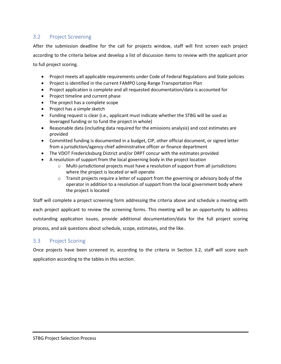#### <span id="page-7-0"></span>3.2 Project Screening

After the submission deadline for the call for projects window, staff will first screen each project according to the criteria below and develop a list of discussion items to review with the applicant prior to full project scoring.

- Project meets all applicable requirements under Code of Federal Regulations and State policies
- Project is identified in the current FAMPO Long-Range Transportation Plan
- Project application is complete and all requested documentation/data is accounted for
- Project timeline and current phase
- The project has a complete scope
- Project has a simple sketch
- Funding request is clear (i.e., applicant must indicate whether the STBG will be used as leveraged funding or to fund the project in whole)
- Reasonable data (including data required for the emissions analysis) and cost estimates are provided
- Committed funding is documented in a budget, CIP, other official document, or signed letter from a jurisdiction/agency chief administrative officer or finance department
- The VDOT Fredericksburg District and/or DRPT concur with the estimates provided
- A resolution of support from the local governing body in the project location
	- $\circ$  Multi-jurisdictional projects must have a resolution of support from all jurisdictions where the project is located or will operate
	- $\circ$  Transit projects require a letter of support from the governing or advisory body of the operator in addition to a resolution of support from the local government body where the project is located

Staff will complete a project screening form addressing the criteria above and schedule a meeting with each project applicant to review the screening forms. This meeting will be an opportunity to address outstanding application issues, provide additional documentation/data for the full project scoring process, and ask questions about schedule, scope, estimates, and the like.

#### <span id="page-7-1"></span>3.3 Project Scoring

Once projects have been screened in, according to the criteria in Section 3.2, staff will score each application according to the tables in this section.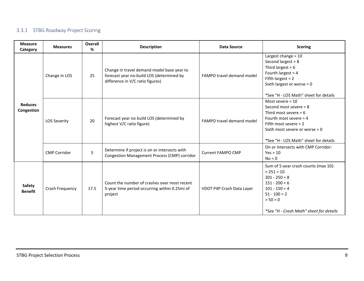## 3.3.1 STBG Roadway Project Scoring

<span id="page-8-0"></span>

| <b>Measure</b><br>Category      | <b>Measures</b>     | Overall<br>% | <b>Description</b>                                                                                                          | <b>Data Source</b>        | <b>Scoring</b>                                                                                                                                                                                                |
|---------------------------------|---------------------|--------------|-----------------------------------------------------------------------------------------------------------------------------|---------------------------|---------------------------------------------------------------------------------------------------------------------------------------------------------------------------------------------------------------|
| <b>Reduces</b><br>Congestion    | Change in LOS       | 25           | Change in travel demand model base year to<br>forecast year no-build LOS (determined by<br>difference in V/C ratio figures) | FAMPO travel demand model | Largest change = 10<br>Second largest = $8$<br>Third largest = $6$<br>Fourth largest = $4$<br>Fifth largest = $2$<br>Sixth largest or worse = $0$<br>*See "H - LOS Math" sheet for details                    |
|                                 | <b>LOS Severity</b> | 20           | Forecast year no build LOS (determined by<br>highest V/C ratio figure)                                                      | FAMPO travel demand model | Most severe $= 10$<br>Second most severe $= 8$<br>Third most severe = $6$<br>Fourth most severe $=$ 4<br>Fifth most severe $= 2$<br>Sixth most severe or worse = $0$<br>*See "H - LOS Math" sheet for details |
|                                 | <b>CMP Corridor</b> | 5            | Determine if project is on or intersects with<br>Congestion Management Process (CMP) corridor                               | <b>Current FAMPO CMP</b>  | On or intersects with CMP Corridor:<br>$Yes = 10$<br>$No = 0$                                                                                                                                                 |
| <b>Safety</b><br><b>Benefit</b> | Crash Frequency     | 17.5         | Count the number of crashes over most recent<br>5-year time period occurring within 0.25mi of<br>project                    | VDOT P4P Crash Data Layer | Sum of 5-year crash counts (max 10):<br>$> 251 = 10$<br>$201 - 250 = 8$<br>$151 - 200 = 6$<br>$101 - 150 = 4$<br>$51 - 100 = 2$<br>$> 50 = 0$<br>*See "H - Crash Math" sheet for details                      |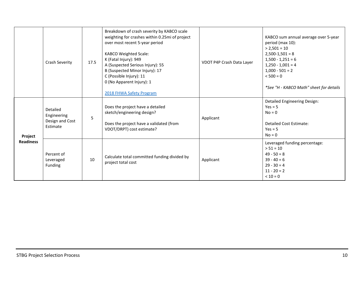<span id="page-9-0"></span>

|                             | Crash Severity                                         | 17.5 | Breakdown of crash severity by KABCO scale<br>weighting for crashes within 0.25mi of project<br>over most recent 5-year period<br><b>KABCO Weighted Scale:</b><br>K (Fatal Injury): 949<br>A (Suspected Serious Injury): 55<br>B (Suspected Minor Injury): 17<br>C (Possible Injury): 11<br>0 (No Apparent Injury): 1<br>2018 FHWA Safety Program | VDOT P4P Crash Data Layer | KABCO sum annual average over 5-year<br>period (max 10):<br>$> 2,501 = 10$<br>$2,500-1,501 = 8$<br>$1,500 - 1,251 = 6$<br>$1,250 - 1,001 = 4$<br>$1,000 - 501 = 2$<br>$< 500 = 0$<br>*See "H - KABCO Math" sheet for details |
|-----------------------------|--------------------------------------------------------|------|---------------------------------------------------------------------------------------------------------------------------------------------------------------------------------------------------------------------------------------------------------------------------------------------------------------------------------------------------|---------------------------|------------------------------------------------------------------------------------------------------------------------------------------------------------------------------------------------------------------------------|
| Project<br><b>Readiness</b> | Detailed<br>Engineering<br>Design and Cost<br>Estimate | 5    | Does the project have a detailed<br>sketch/engineering design?<br>Does the project have a validated (from<br>VDOT/DRPT) cost estimate?                                                                                                                                                                                                            | Applicant                 | <b>Detailed Engineering Design:</b><br>$Yes = 5$<br>$No = 0$<br><b>Detailed Cost Estimate:</b><br>$Yes = 5$<br>$No = 0$                                                                                                      |
|                             | Percent of<br>Leveraged<br>Funding                     | 10   | Calculate total committed funding divided by<br>project total cost                                                                                                                                                                                                                                                                                | Applicant                 | Leveraged funding percentage:<br>$> 51 = 10$<br>$49 - 50 = 8$<br>$39 - 40 = 6$<br>$29 - 30 = 4$<br>$11 - 20 = 2$<br>$< 10 = 0$                                                                                               |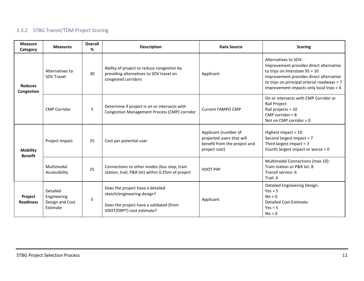## 3.3.2 STBG Transit/TDM Project Scoring

| <b>Measure</b><br>Category        | <b>Measures</b>                                        | <b>Overall</b><br>% | <b>Description</b>                                                                                                                     | <b>Data Source</b>                                                                                 | <b>Scoring</b>                                                                                                                                                                                                                            |
|-----------------------------------|--------------------------------------------------------|---------------------|----------------------------------------------------------------------------------------------------------------------------------------|----------------------------------------------------------------------------------------------------|-------------------------------------------------------------------------------------------------------------------------------------------------------------------------------------------------------------------------------------------|
| <b>Reduces</b><br>Congestion      | Alternatives to<br><b>SOV Travel</b>                   | 30                  | Ability of project to reduce congestion by<br>providing alternatives to SOV travel on<br>congested corridors                           | Applicant                                                                                          | Alternatives to SOV:<br>Improvement provides direct alternative<br>to trips on Interstate $95 = 10$<br>Improvement provides direct alternative<br>to trips on principal arterial roadways = 7<br>Improvement impacts only local trips = 4 |
|                                   | <b>CMP Corridor</b>                                    | 5                   | Determine if project is on or intersects with<br>Congestion Management Process (CMP) corridor                                          | <b>Current FAMPO CMP</b>                                                                           | On or intersects with CMP Corridor or<br>Rail Project:<br>Rail projects = 10<br>CMP corridor = $8$<br>Not on CMP corridor = $0$                                                                                                           |
| <b>Mobility</b><br><b>Benefit</b> | Project Impact                                         | 25                  | Cost per potential user                                                                                                                | Applicant (number of<br>projected users that will<br>benefit from the project and<br>project cost) | Highest impact = $10$<br>Second largest impact = 7<br>Third largest impact $=$ 3<br>Fourth largest impact or worse = $0$                                                                                                                  |
|                                   | Multimodal<br>Accessibility                            | 25                  | Connections to other modes (bus stop, train<br>station, trail, P&R lot) within 0.25mi of project                                       | <b>VDOT P4P</b>                                                                                    | Multimodal Connections (max 10):<br>Train station or P&R lot: 8<br>Transit service: 6<br>Trail: 4                                                                                                                                         |
| Project<br><b>Readiness</b>       | Detailed<br>Engineering<br>Design and Cost<br>Estimate | 5                   | Does the project have a detailed<br>sketch/engineering design?<br>Does the project have a validated (from<br>VDOT/DRPT) cost estimate? | Applicant                                                                                          | <b>Detailed Engineering Design:</b><br>$Yes = 5$<br>$No = 0$<br><b>Detailed Cost Estimate:</b><br>$Yes = 5$<br>$No = 0$                                                                                                                   |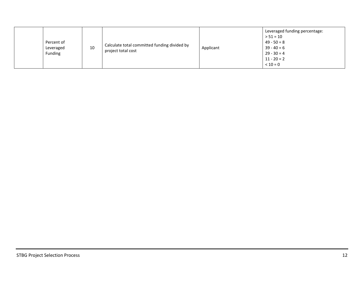|  | Percent of<br>Leveraged<br>Funding | 10 | Calculate total committed funding divided by<br>project total cost | Applicant | Leveraged funding percentage:<br>$> 51 = 10$<br>$49 - 50 = 8$<br>$39 - 40 = 6$<br>$29 - 30 = 4$<br>$11 - 20 = 2$<br>$< 10 = 0$ |
|--|------------------------------------|----|--------------------------------------------------------------------|-----------|--------------------------------------------------------------------------------------------------------------------------------|
|--|------------------------------------|----|--------------------------------------------------------------------|-----------|--------------------------------------------------------------------------------------------------------------------------------|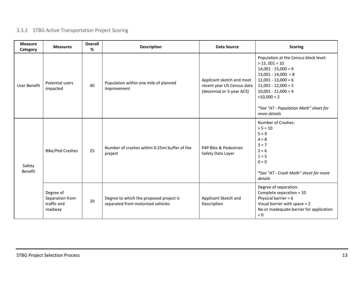## 3.3.3 STBG Active Transportation Project Scoring

<span id="page-12-0"></span>

| <b>Measure</b><br>Category | <b>Measures</b>                                        | Overall<br>% | <b>Description</b>                                                           | <b>Data Source</b>                                                                   | <b>Scoring</b>                                                                                                                                                                                                                                                   |
|----------------------------|--------------------------------------------------------|--------------|------------------------------------------------------------------------------|--------------------------------------------------------------------------------------|------------------------------------------------------------------------------------------------------------------------------------------------------------------------------------------------------------------------------------------------------------------|
| User Benefit               | Potential users<br>impacted                            | 40           | Population within one mile of planned<br>improvement                         | Applicant sketch and most<br>recent year US Census data<br>(decennial or 5-year ACS) | Population at the Census block level:<br>$> 15,001 = 10$<br>$14,001 - 15,000 = 9$<br>$13,001 - 14,000 = 8$<br>$12,001 - 13,000 = 6$<br>$11,001 - 12,000 = 5$<br>$10,001 - 11,000 = 4$<br>$<$ 10,000 = 2<br>*See "AT - Population Math" sheet for<br>more details |
| Safety<br>Benefit          | <b>Bike/Ped Crashes</b>                                | 25           | Number of crashes within 0.25mi buffer of the<br>project                     | P4P Bike & Pedestrian<br>Safety Data Layer                                           | Number of Crashes:<br>$> 5 = 10$<br>$5 = 9$<br>$4 = 8$<br>$3 = 7$<br>$2 = 6$<br>$1 = 5$<br>$0 = 0$<br>*See "AT - Crash Math" sheet for more<br>details                                                                                                           |
|                            | Degree of<br>Separation from<br>traffic and<br>roadway | 20           | Degree to which the proposed project is<br>separated from motorized vehicles | Applicant Sketch and<br>Description                                                  | Degree of separation:<br>Complete separation = 10<br>Physical barrier = $6$<br>Visual barrier with space = 2<br>No or Inadequate barrier for application<br>$= 0$                                                                                                |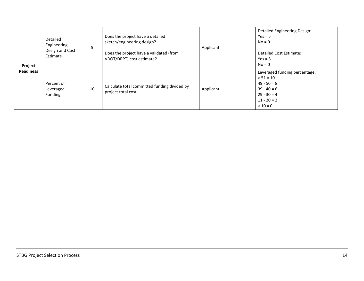| Project          | Detailed<br>Engineering<br>Design and Cost<br>Estimate | 5  | Does the project have a detailed<br>sketch/engineering design?<br>Does the project have a validated (from<br>VDOT/DRPT) cost estimate? | Applicant | <b>Detailed Engineering Design:</b><br>$Yes = 5$<br>$No = 0$<br>Detailed Cost Estimate:<br>$Yes = 5$<br>$No = 0$               |
|------------------|--------------------------------------------------------|----|----------------------------------------------------------------------------------------------------------------------------------------|-----------|--------------------------------------------------------------------------------------------------------------------------------|
| <b>Readiness</b> | Percent of<br>Leveraged<br>Funding                     | 10 | Calculate total committed funding divided by<br>project total cost                                                                     | Applicant | Leveraged funding percentage:<br>$> 51 = 10$<br>$49 - 50 = 8$<br>$39 - 40 = 6$<br>$29 - 30 = 4$<br>$11 - 20 = 2$<br>$< 10 = 0$ |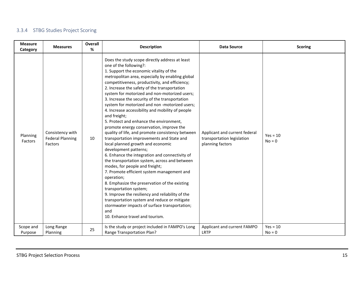## 3.3.4 STBG Studies Project Scoring

<span id="page-14-0"></span>

| <b>Measure</b><br>Category | <b>Measures</b>                                        | Overall<br>% | <b>Description</b>                                                                                                                                                                                                                                                                                                                                                                                                                                                                                                                                                                                                                                                                                                                                                                                                                                                                                                                                                                                                                                                                                                                                                                                                                 | <b>Data Source</b>                                                              | <b>Scoring</b>         |
|----------------------------|--------------------------------------------------------|--------------|------------------------------------------------------------------------------------------------------------------------------------------------------------------------------------------------------------------------------------------------------------------------------------------------------------------------------------------------------------------------------------------------------------------------------------------------------------------------------------------------------------------------------------------------------------------------------------------------------------------------------------------------------------------------------------------------------------------------------------------------------------------------------------------------------------------------------------------------------------------------------------------------------------------------------------------------------------------------------------------------------------------------------------------------------------------------------------------------------------------------------------------------------------------------------------------------------------------------------------|---------------------------------------------------------------------------------|------------------------|
| Planning<br>Factors        | Consistency with<br><b>Federal Planning</b><br>Factors | 10           | Does the study scope directly address at least<br>one of the following?:<br>1. Support the economic vitality of the<br>metropolitan area, especially by enabling global<br>competitiveness, productivity, and efficiency;<br>2. Increase the safety of the transportation<br>system for motorized and non-motorized users;<br>3. Increase the security of the transportation<br>system for motorized and non-motorized users;<br>4. Increase accessibility and mobility of people<br>and freight;<br>5. Protect and enhance the environment,<br>promote energy conservation, improve the<br>quality of life, and promote consistency between<br>transportation improvements and State and<br>local planned growth and economic<br>development patterns;<br>6. Enhance the integration and connectivity of<br>the transportation system, across and between<br>modes, for people and freight;<br>7. Promote efficient system management and<br>operation;<br>8. Emphasize the preservation of the existing<br>transportation system;<br>9. Improve the resiliency and reliability of the<br>transportation system and reduce or mitigate<br>stormwater impacts of surface transportation;<br>and<br>10. Enhance travel and tourism. | Applicant and current federal<br>transportation legislation<br>planning factors | $Yes = 10$<br>$No = 0$ |
| Scope and<br>Purpose       | Long Range<br>Planning                                 | 25           | Is the study or project included in FAMPO's Long<br>Range Transportation Plan?                                                                                                                                                                                                                                                                                                                                                                                                                                                                                                                                                                                                                                                                                                                                                                                                                                                                                                                                                                                                                                                                                                                                                     | Applicant and current FAMPO<br>LRTP                                             | $Yes = 10$<br>$No = 0$ |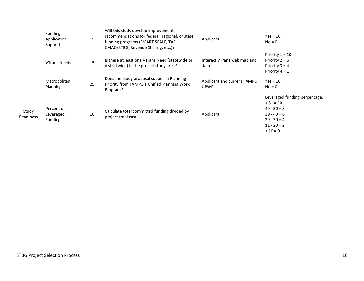|                    | Funding<br>Application<br>Support  | 15 | Will this study develop improvement<br>recommendations for federal, regional, or state<br>funding programs (SMART SCALE, TAP,<br>CMAQ/STBG, Revenue Sharing, etc.)? | Applicant                                  | $Yes = 10$<br>$No = 0$                                                                                                         |
|--------------------|------------------------------------|----|---------------------------------------------------------------------------------------------------------------------------------------------------------------------|--------------------------------------------|--------------------------------------------------------------------------------------------------------------------------------|
|                    | <b>VTrans Needs</b>                | 15 | Is there at least one VTrans Need (statewide or<br>districtwide) in the project study area?                                                                         | Interact VTrans web map and<br>data        | Priority $1 = 10$<br>Priority $2 = 6$<br>Priority $3 = 4$<br>Priority $4 = 1$                                                  |
|                    | Metropolitan<br>Planning           | 25 | Does the study proposal support a Planning<br>Priority from FAMPO's Unified Planning Work<br>Program?                                                               | Applicant and current FAMPO<br><b>UPWP</b> | $Yes = 10$<br>$No = 0$                                                                                                         |
| Study<br>Readiness | Percent of<br>Leveraged<br>Funding | 10 | Calculate total committed funding divided by<br>project total cost                                                                                                  | Applicant                                  | Leveraged funding percentage:<br>$> 51 = 10$<br>$49 - 50 = 8$<br>$39 - 40 = 6$<br>$29 - 30 = 4$<br>$11 - 20 = 2$<br>$< 10 = 0$ |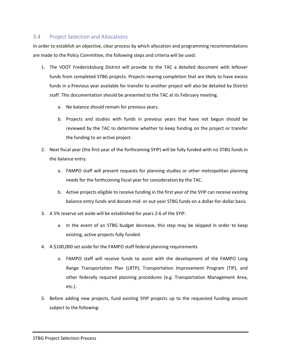#### <span id="page-16-0"></span>3.4 Project Selection and Allocations

In order to establish an objective, clear process by which allocation and programming recommendations are made to the Policy Committee, the following steps and criteria will be used:

- 1. The VDOT Fredericksburg District will provide to the TAC a detailed document with leftover funds from completed STBG projects. Projects nearing completion that are likely to have excess funds in a Previous year available for transfer to another project will also be detailed by District staff. This documentation should be presented to the TAC at its February meeting.
	- a. No balance should remain for previous years.
	- b. Projects and studies with funds in previous years that have not begun should be reviewed by the TAC to determine whether to keep funding on the project or transfer the funding to an active project.
- 2. Next fiscal year (the first year of the forthcoming SYIP) will be fully funded with no STBG funds in the balance entry.
	- a. FAMPO staff will present requests for planning studies or other metropolitan planning needs for the forthcoming fiscal year for consideration by the TAC.
	- b. Active projects eligible to receive funding in the first year of the SYIP can receive existing balance entry funds and donate mid- or out-year STBG funds on a dollar-for-dollar basis.
- 3. A 5% reserve set aside will be established for years 2-6 of the SYIP.
	- a. In the event of an STBG budget decrease, this step may be skipped in order to keep existing, active projects fully funded.
- 4. A \$100,000 set aside for the FAMPO staff federal planning requirements
	- a. FAMPO staff will receive funds to assist with the development of the FAMPO Long Range Transportation Plan (LRTP), Transportation Improvement Program (TIP), and other federally required planning procedures (e.g. Transportation Management Area, etc.).
- 5. Before adding new projects, fund existing SYIP projects up to the requested funding amount subject to the following: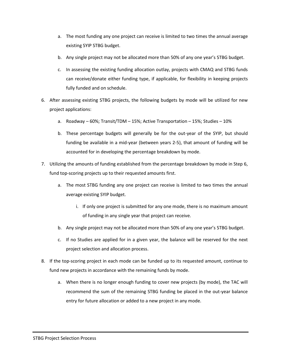- a. The most funding any one project can receive is limited to two times the annual average existing SYIP STBG budget.
- b. Any single project may not be allocated more than 50% of any one year's STBG budget.
- c. In assessing the existing funding allocation outlay, projects with CMAQ and STBG funds can receive/donate either funding type, if applicable, for flexibility in keeping projects fully funded and on schedule.
- 6. After assessing existing STBG projects, the following budgets by mode will be utilized for new project applications:
	- a. Roadway 60%; Transit/TDM 15%; Active Transportation 15%; Studies 10%
	- b. These percentage budgets will generally be for the out-year of the SYIP, but should funding be available in a mid-year (between years 2-5), that amount of funding will be accounted for in developing the percentage breakdown by mode.
- 7. Utilizing the amounts of funding established from the percentage breakdown by mode in Step 6, fund top-scoring projects up to their requested amounts first.
	- a. The most STBG funding any one project can receive is limited to two times the annual average existing SYIP budget.
		- i. If only one project is submitted for any one mode, there is no maximum amount of funding in any single year that project can receive.
	- b. Any single project may not be allocated more than 50% of any one year's STBG budget.
	- c. If no Studies are applied for in a given year, the balance will be reserved for the next project selection and allocation process.
- 8. If the top-scoring project in each mode can be funded up to its requested amount, continue to fund new projects in accordance with the remaining funds by mode.
	- a. When there is no longer enough funding to cover new projects (by mode), the TAC will recommend the sum of the remaining STBG funding be placed in the out-year balance entry for future allocation or added to a new project in any mode.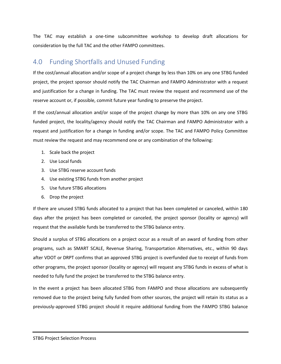The TAC may establish a one-time subcommittee workshop to develop draft allocations for consideration by the full TAC and the other FAMPO committees.

# <span id="page-18-0"></span>4.0 Funding Shortfalls and Unused Funding

If the cost/annual allocation and/or scope of a project change by less than 10% on any one STBG funded project, the project sponsor should notify the TAC Chairman and FAMPO Administrator with a request and justification for a change in funding. The TAC must review the request and recommend use of the reserve account or, if possible, commit future year funding to preserve the project.

If the cost/annual allocation and/or scope of the project change by more than 10% on any one STBG funded project, the locality/agency should notify the TAC Chairman and FAMPO Administrator with a request and justification for a change in funding and/or scope. The TAC and FAMPO Policy Committee must review the request and may recommend one or any combination of the following:

- 1. Scale back the project
- 2. Use Local funds
- 3. Use STBG reserve account funds
- 4. Use existing STBG funds from another project
- 5. Use future STBG allocations
- 6. Drop the project

If there are unused STBG funds allocated to a project that has been completed or canceled, within 180 days after the project has been completed or canceled, the project sponsor (locality or agency) will request that the available funds be transferred to the STBG balance entry.

Should a surplus of STBG allocations on a project occur as a result of an award of funding from other programs, such as SMART SCALE, Revenue Sharing, Transportation Alternatives, etc., within 90 days after VDOT or DRPT confirms that an approved STBG project is overfunded due to receipt of funds from other programs, the project sponsor (locality or agency) will request any STBG funds in excess of what is needed to fully fund the project be transferred to the STBG balance entry.

In the event a project has been allocated STBG from FAMPO and those allocations are subsequently removed due to the project being fully funded from other sources, the project will retain its status as a previously-approved STBG project should it require additional funding from the FAMPO STBG balance